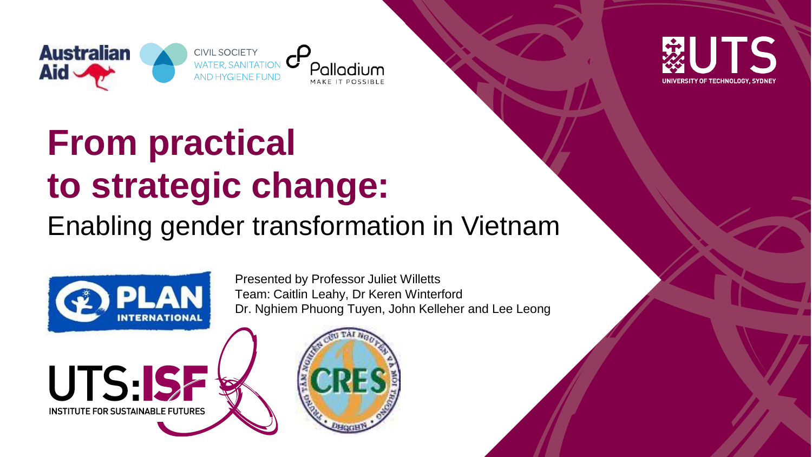



# **From practical to strategic change:**

#### Enabling gender transformation in Vietnam



Presented by Professor Juliet Willetts Team: Caitlin Leahy, Dr Keren Winterford Dr. Nghiem Phuong Tuyen, John Kelleher and Lee Leong



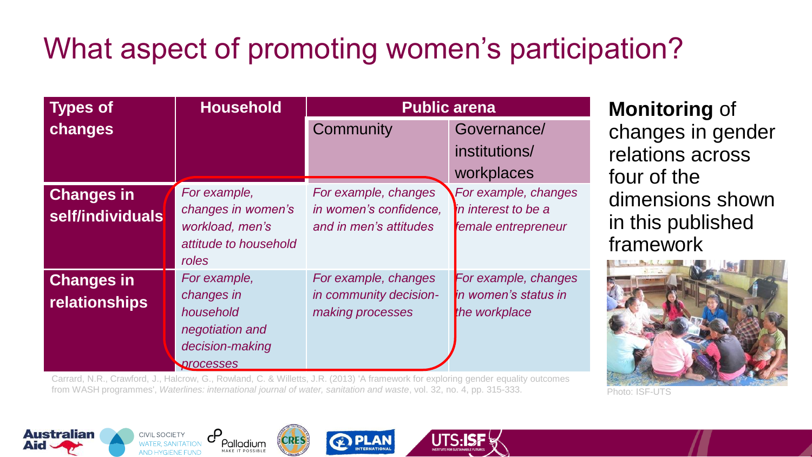# What aspect of promoting women's participation?

| <b>Types of</b>                           | <b>Household</b>                                                                           | <b>Public arena</b>                                                      |                                                                    |
|-------------------------------------------|--------------------------------------------------------------------------------------------|--------------------------------------------------------------------------|--------------------------------------------------------------------|
| changes                                   |                                                                                            | Community                                                                | Governance/<br>institutions/                                       |
|                                           |                                                                                            |                                                                          | workplaces                                                         |
| <b>Changes in</b><br>self/individuals     | For example,<br>changes in women's<br>workload, men's<br>attitude to household<br>roles    | For example, changes<br>in women's confidence,<br>and in men's attitudes | For example, changes<br>in interest to be a<br>female entrepreneur |
| <b>Changes in</b><br><b>relationships</b> | For example,<br>changes in<br>household<br>negotiation and<br>decision-making<br>processes | For example, changes<br>in community decision-<br>making processes       | For example, changes<br>in women's status in<br>the workplace      |

Carrard, N.R., Crawford, J., Halcrow, G., Rowland, C. & Willetts, J.R. (2013) 'A framework for exploring gender equality outcomes from WASH programmes', *Waterlines: international journal of water, sanitation and waste*, vol. 32, no. 4, pp. 315-333.

**Monitoring** of changes in gender relations across four of the dimensions shown in this published framework









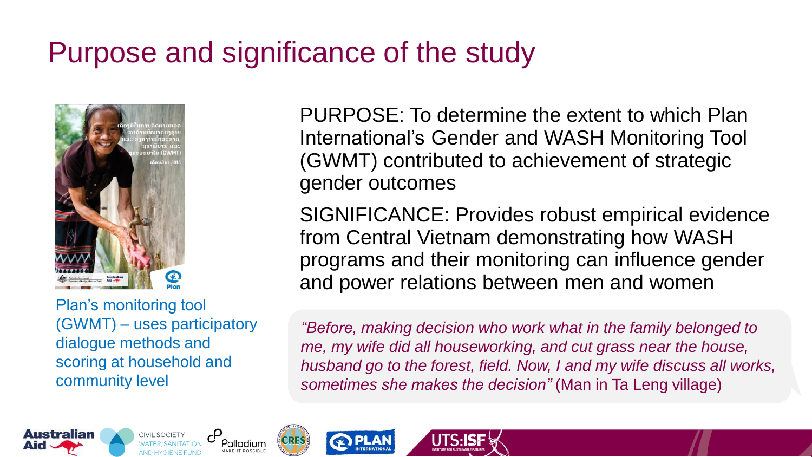## Purpose and significance of the study



Plan's monitoring tool (GWMT) – uses participatory dialogue methods and scoring at household and community level

PURPOSE: To determine the extent to which Plan International's Gender and WASH Monitoring Tool (GWMT) contributed to achievement of strategic gender outcomes

SIGNIFICANCE: Provides robust empirical evidence from Central Vietnam demonstrating how WASH programs and their monitoring can influence gender and power relations between men and women

*"Before, making decision who work what in the family belonged to me, my wife did all houseworking, and cut grass near the house, husband go to the forest, field. Now, I and my wife discuss all works, sometimes she makes the decision"* (Man in Ta Leng village)







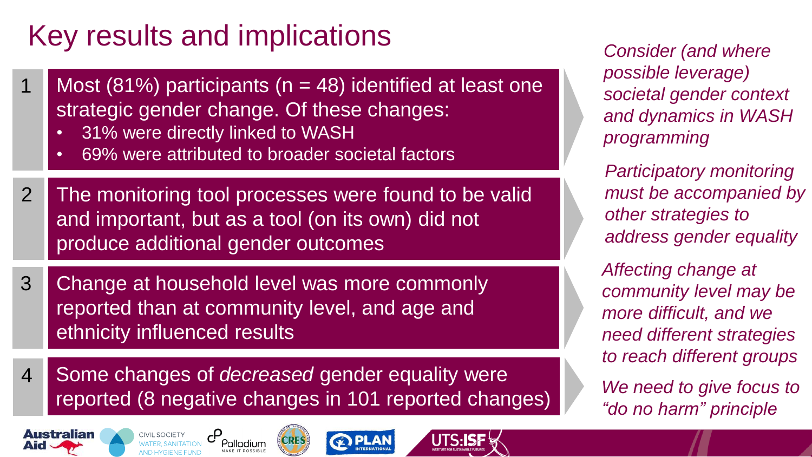## Key results and implications

- 1 Most (81%) participants ( $n = 48$ ) identified at least one strategic gender change. Of these changes:
	- 31% were directly linked to WASH
	- 69% were attributed to broader societal factors
- The monitoring tool processes were found to be valid and important, but as a tool (on its own) did not produce additional gender outcomes 2
- Change at household level was more commonly reported than at community level, and age and ethnicity influenced results 3
- Some changes of *decreased* gender equality were reported (8 negative changes in 101 reported changes) 4









*Consider (and where possible leverage) societal gender context and dynamics in WASH programming*

*Participatory monitoring must be accompanied by other strategies to address gender equality*

*We need to give focus to "do no harm" principle Affecting change at community level may be more difficult, and we need different strategies to reach different groups*